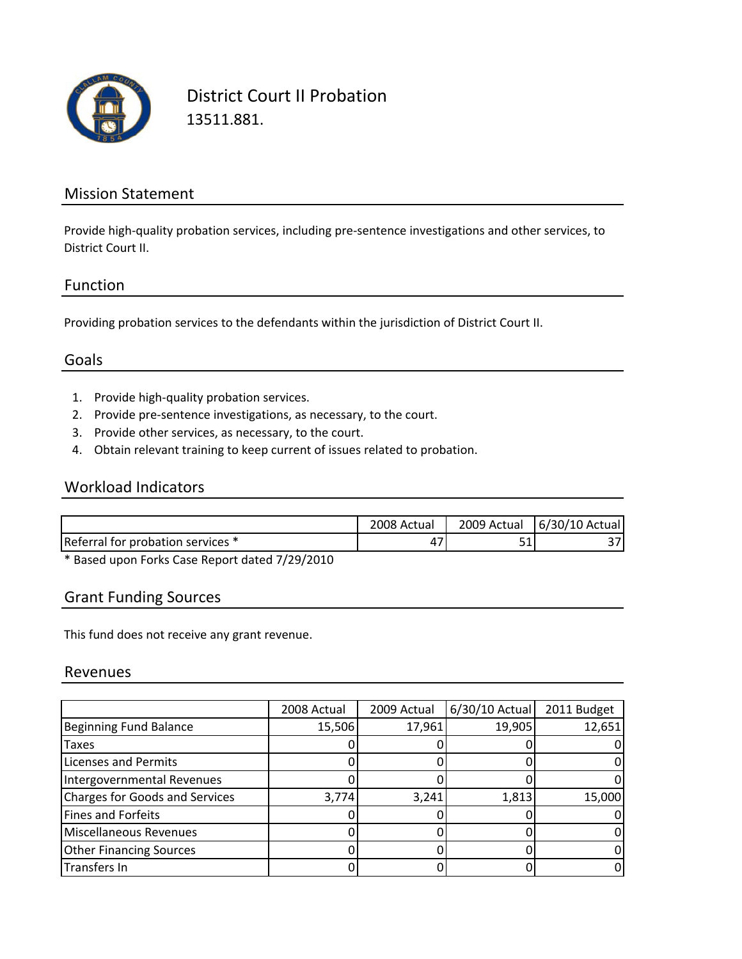

District Court II Probation 13511.881.

### Mission Statement

Provide high‐quality probation services, including pre‐sentence investigations and other services, to District Court II.

#### Function

Providing probation services to the defendants within the jurisdiction of District Court II.

## Goals

- 1. Provide high‐quality probation services.
- 2. Provide pre‐sentence investigations, as necessary, to the court.
- 3. Provide other services, as necessary, to the court.
- 4. Obtain relevant training to keep current of issues related to probation.

#### Workload Indicators

|                                   | ∠008 Actual | 2009 Actual | 6/30/10 Actual |
|-----------------------------------|-------------|-------------|----------------|
| Referral for probation services * |             | - 4         |                |

\* Based upon Forks Case Report dated 7/29/2010

#### Grant Funding Sources

This fund does not receive any grant revenue.

#### Revenues

|                                       | 2008 Actual | 2009 Actual | 6/30/10 Actual | 2011 Budget |
|---------------------------------------|-------------|-------------|----------------|-------------|
| <b>Beginning Fund Balance</b>         | 15,506      | 17,961      | 19,905         | 12,651      |
| Taxes                                 |             |             |                |             |
| Licenses and Permits                  |             |             |                |             |
| Intergovernmental Revenues            |             |             |                |             |
| <b>Charges for Goods and Services</b> | 3,774       | 3,241       | 1,813          | 15,000      |
| <b>Fines and Forfeits</b>             |             |             |                |             |
| Miscellaneous Revenues                |             |             |                |             |
| <b>Other Financing Sources</b>        |             |             |                |             |
| Transfers In                          |             |             |                |             |